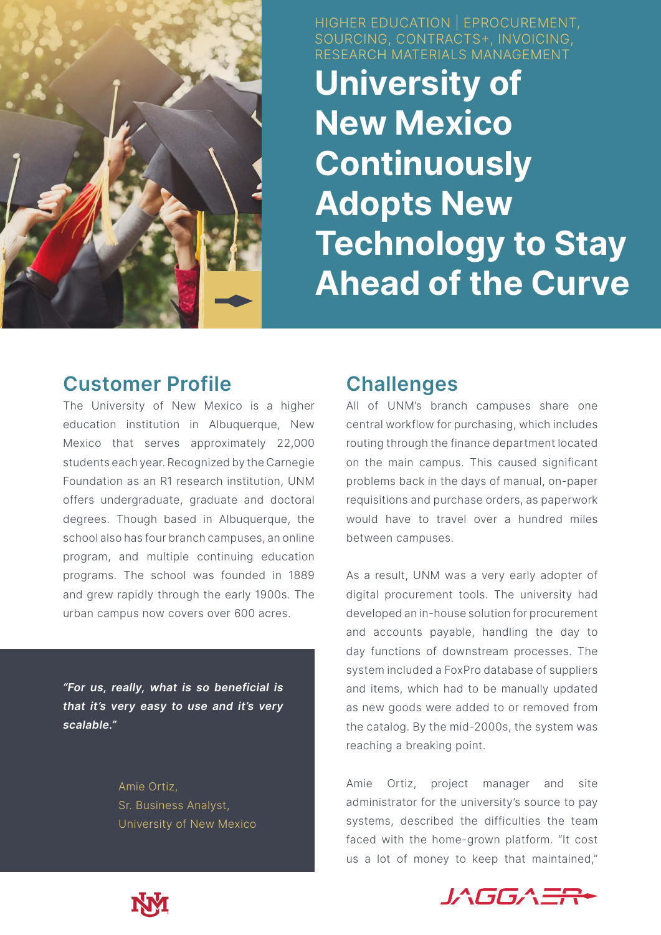

HIGHER EDUCATION | EPROCUREMENT, SOURCING, CONTRACTS+, INVOICING, RESEARCH MATERIALS MANAGEMENT

**University of New Mexico Continuously Adopts New Technology to Stay Ahead of the Curve** 

## **Customer Profile**

The University of New Mexico is a higher education institution in Albuquerque, New Mexico that serves approximately 22,000 students each year. Recognized by the Carnegie Foundation as an R1 research institution, UNM offers undergraduate, graduate and doctoral degrees. Though based in Albuquerque, the school also has four branch campuses, an online program, and multiple continuing education programs. The school was founded in 1889 and grew rapidly through the early 1900s. The urban campus now covers over 600 acres.

*"For us, really, what is so beneficial is that it's very easy to use and it's very scalable."*

> Amie Ortiz, Sr. Business Analyst, University of New Mexico

# **Challenges**

All of UNM's branch campuses share one central workflow for purchasing, which includes routing through the finance department located on the main campus. This caused significant problems back in the days of manual, on-paper requisitions and purchase orders, as paperwork would have to travel over a hundred miles between campuses.

As a result, UNM was a very early adopter of digital procurement tools. The university had developed an in-house solution for procurement and accounts payable, handling the day to day functions of downstream processes. The system included a FoxPro database of suppliers and items, which had to be manually updated as new goods were added to or removed from the catalog. By the mid-2000s, the system was reaching a breaking point.

Amie Ortiz, project manager and site administrator for the university's source to pay systems, described the difficulties the team faced with the home-grown platform. "It cost us a lot of money to keep that maintained,"



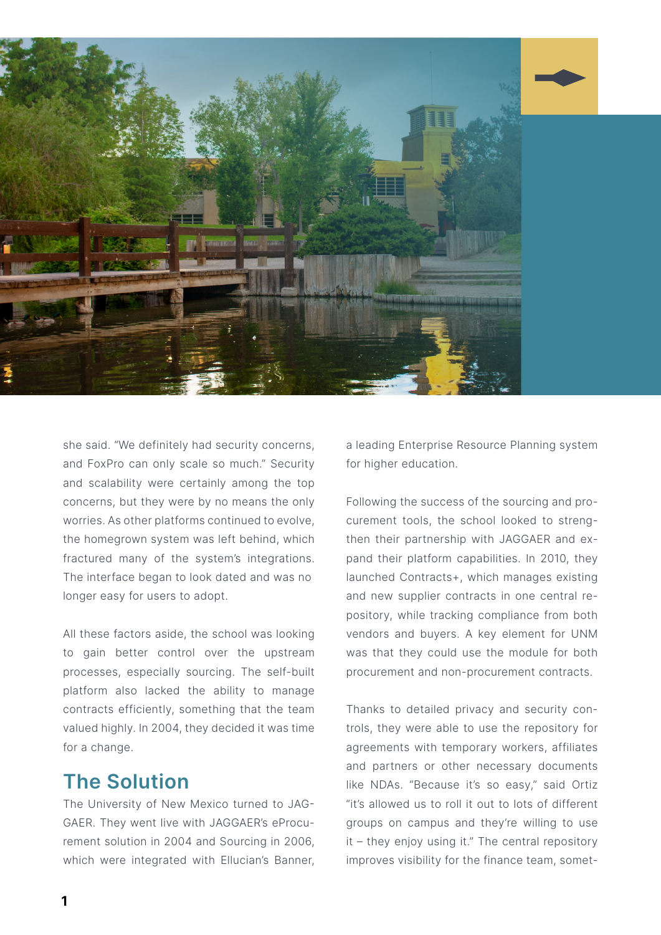

she said. "We definitely had security concerns, and FoxPro can only scale so much." Security and scalability were certainly among the top concerns, but they were by no means the only worries. As other platforms continued to evolve, the homegrown system was left behind, which fractured many of the system's integrations. The interface began to look dated and was no longer easy for users to adopt.

All these factors aside, the school was looking to gain better control over the upstream processes, especially sourcing. The self-built platform also lacked the ability to manage contracts efficiently, something that the team valued highly. In 2004, they decided it was time for a change.

# **The Solution**

The University of New Mexico turned to JAG-GAER. They went live with JAGGAER's eProcurement solution in 2004 and Sourcing in 2006, which were integrated with Ellucian's Banner, a leading Enterprise Resource Planning system for higher education.

Following the success of the sourcing and procurement tools, the school looked to strengthen their partnership with JAGGAER and expand their platform capabilities. In 2010, they launched Contracts+, which manages existing and new supplier contracts in one central repository, while tracking compliance from both vendors and buyers. A key element for UNM was that they could use the module for both procurement and non-procurement contracts.

Thanks to detailed privacy and security controls, they were able to use the repository for agreements with temporary workers, affiliates and partners or other necessary documents like NDAs. "Because it's so easy," said Ortiz "it's allowed us to roll it out to lots of different groups on campus and they're willing to use it – they enjoy using it." The central repository improves visibility for the finance team, somet-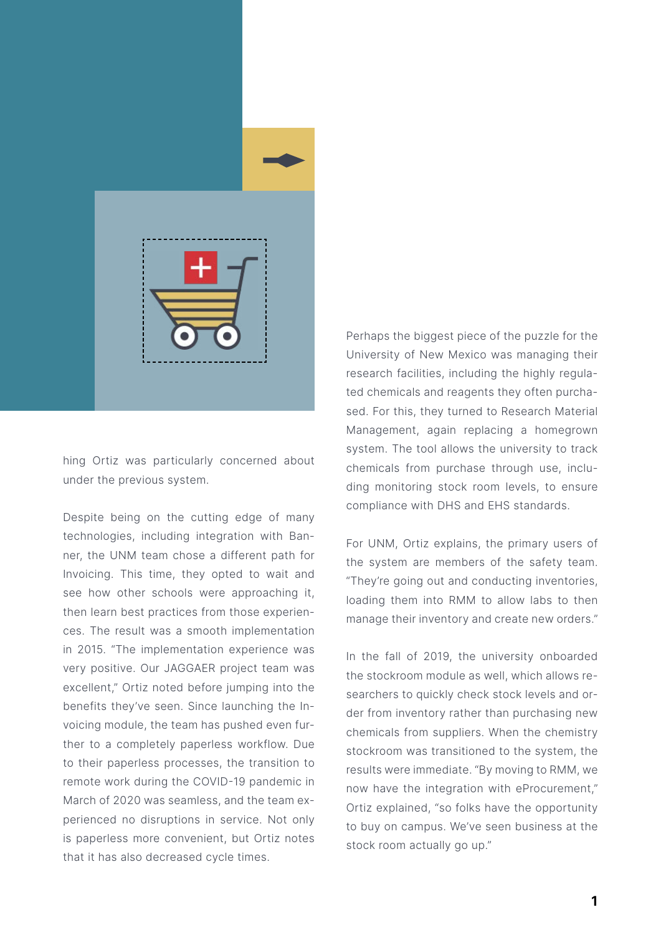

hing Ortiz was particularly concerned about under the previous system.

Despite being on the cutting edge of many technologies, including integration with Banner, the UNM team chose a different path for Invoicing. This time, they opted to wait and see how other schools were approaching it, then learn best practices from those experiences. The result was a smooth implementation in 2015. "The implementation experience was very positive. Our JAGGAER project team was excellent," Ortiz noted before jumping into the benefits they've seen. Since launching the Invoicing module, the team has pushed even further to a completely paperless workflow. Due to their paperless processes, the transition to remote work during the COVID-19 pandemic in March of 2020 was seamless, and the team experienced no disruptions in service. Not only is paperless more convenient, but Ortiz notes that it has also decreased cycle times.

Perhaps the biggest piece of the puzzle for the University of New Mexico was managing their research facilities, including the highly regulated chemicals and reagents they often purchased. For this, they turned to Research Material Management, again replacing a homegrown system. The tool allows the university to track chemicals from purchase through use, including monitoring stock room levels, to ensure compliance with DHS and EHS standards.

For UNM, Ortiz explains, the primary users of the system are members of the safety team. "They're going out and conducting inventories, loading them into RMM to allow labs to then manage their inventory and create new orders."

In the fall of 2019, the university onboarded the stockroom module as well, which allows researchers to quickly check stock levels and order from inventory rather than purchasing new chemicals from suppliers. When the chemistry stockroom was transitioned to the system, the results were immediate. "By moving to RMM, we now have the integration with eProcurement," Ortiz explained, "so folks have the opportunity to buy on campus. We've seen business at the stock room actually go up."